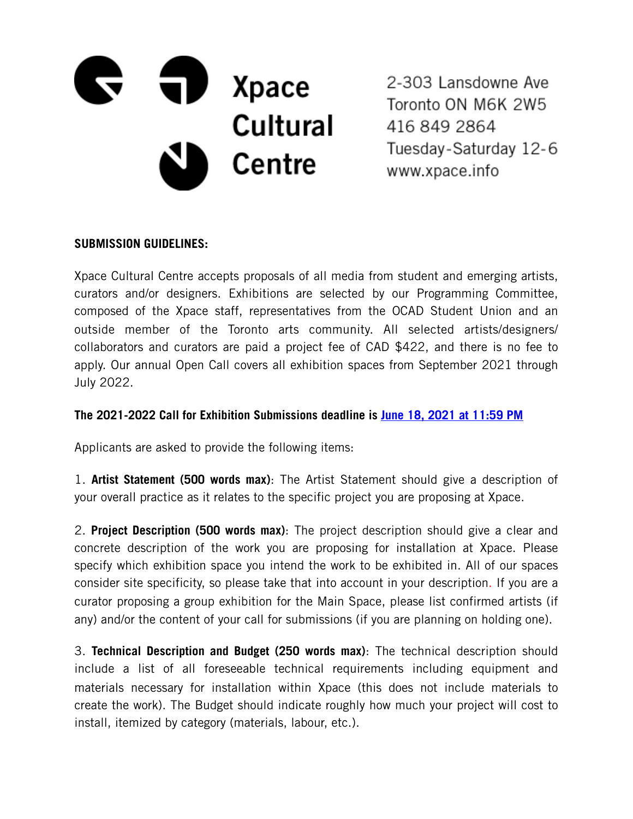

2-303 Lansdowne Ave Toronto ON M6K 2W5 416 849 2864 Tuesday-Saturday 12-6 www.xpace.info

## **SUBMISSION GUIDELINES:**

Xpace Cultural Centre accepts proposals of all media from student and emerging artists, curators and/or designers. Exhibitions are selected by our Programming Committee, composed of the Xpace staff, representatives from the OCAD Student Union and an outside member of the Toronto arts community. All selected artists/designers/ collaborators and curators are paid a project fee of CAD \$422, and there is no fee to apply. Our annual Open Call covers all exhibition spaces from September 2021 through July 2022.

## **The 2021-2022 Call for Exhibition Submissions deadline is June 18, 2021 at 11:59 PM**

Applicants are asked to provide the following items:

1. **Artist Statement (500 words max)**: The Artist Statement should give a description of your overall practice as it relates to the specific project you are proposing at Xpace.

2. **Project Description (500 words max)**: The project description should give a clear and concrete description of the work you are proposing for installation at Xpace. Please specify which exhibition space you intend the work to be exhibited in. All of our spaces consider site specificity, so please take that into account in your description. If you are a curator proposing a group exhibition for the Main Space, please list confirmed artists (if any) and/or the content of your call for submissions (if you are planning on holding one).

3. **Technical Description and Budget (250 words max)**: The technical description should include a list of all foreseeable technical requirements including equipment and materials necessary for installation within Xpace (this does not include materials to create the work). The Budget should indicate roughly how much your project will cost to install, itemized by category (materials, labour, etc.).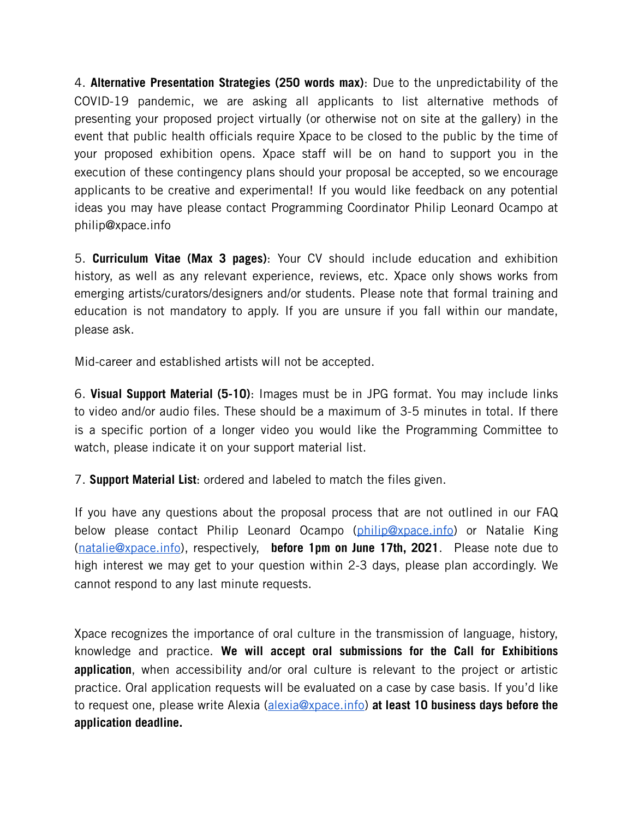4. **Alternative Presentation Strategies (250 words max)**: Due to the unpredictability of the COVID-19 pandemic, we are asking all applicants to list alternative methods of presenting your proposed project virtually (or otherwise not on site at the gallery) in the event that public health officials require Xpace to be closed to the public by the time of your proposed exhibition opens. Xpace staff will be on hand to support you in the execution of these contingency plans should your proposal be accepted, so we encourage applicants to be creative and experimental! If you would like feedback on any potential ideas you may have please contact Programming Coordinator Philip Leonard Ocampo at philip@xpace.info

5. **Curriculum Vitae (Max 3 pages)**: Your CV should include education and exhibition history, as well as any relevant experience, reviews, etc. Xpace only shows works from emerging artists/curators/designers and/or students. Please note that formal training and education is not mandatory to apply. If you are unsure if you fall within our mandate, please ask.

Mid-career and established artists will not be accepted.

6. **Visual Support Material (5-10)**: Images must be in JPG format. You may include links to video and/or audio files. These should be a maximum of 3-5 minutes in total. If there is a specific portion of a longer video you would like the Programming Committee to watch, please indicate it on your support material list.

7. **Support Material List**: ordered and labeled to match the files given.

If you have any questions about the proposal process that are not outlined in our FAQ below please contact Philip Leonard Ocampo [\(philip@xpace.info\)](mailto:philip@xpace.info) or Natalie King ([natalie@xpace.info\)](mailto:natalie@xpace.info), respectively, **before 1pm on June 17th, 2021**. Please note due to high interest we may get to your question within 2-3 days, please plan accordingly. We cannot respond to any last minute requests.

Xpace recognizes the importance of oral culture in the transmission of language, history, knowledge and practice. **We will accept oral submissions for the Call for Exhibitions application**, when accessibility and/or oral culture is relevant to the project or artistic practice. Oral application requests will be evaluated on a case by case basis. If you'd like to request one, please write Alexia [\(alexia@xpace.info\)](mailto:alexia@xpace.info) **at least 10 business days before the application deadline.**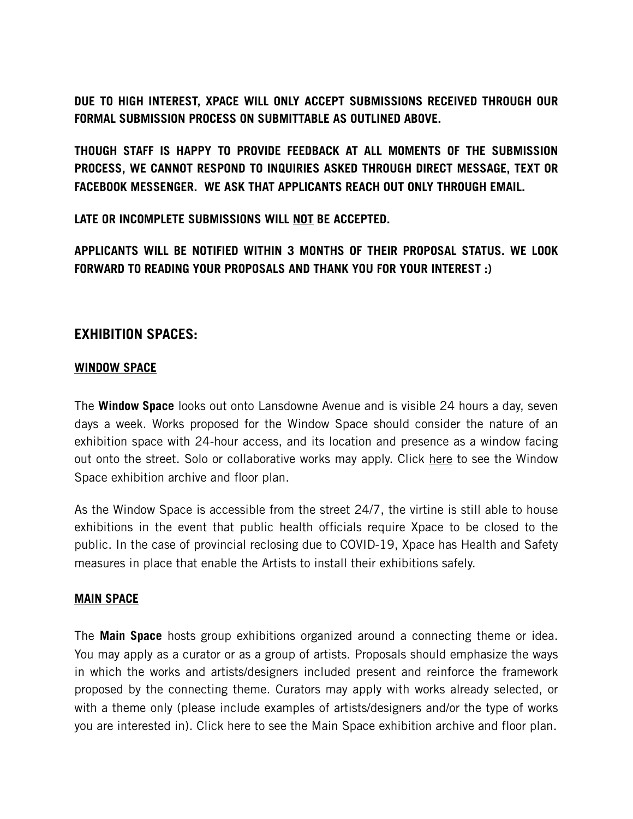**DUE TO HIGH INTEREST, XPACE WILL ONLY ACCEPT SUBMISSIONS RECEIVED THROUGH OUR FORMAL SUBMISSION PROCESS ON SUBMITTABLE AS OUTLINED ABOVE.** 

**THOUGH STAFF IS HAPPY TO PROVIDE FEEDBACK AT ALL MOMENTS OF THE SUBMISSION PROCESS, WE CANNOT RESPOND TO INQUIRIES ASKED THROUGH DIRECT MESSAGE, TEXT OR FACEBOOK MESSENGER. WE ASK THAT APPLICANTS REACH OUT ONLY THROUGH EMAIL.** 

**LATE OR INCOMPLETE SUBMISSIONS WILL NOT BE ACCEPTED.** 

**APPLICANTS WILL BE NOTIFIED WITHIN 3 MONTHS OF THEIR PROPOSAL STATUS. WE LOOK FORWARD TO READING YOUR PROPOSALS AND THANK YOU FOR YOUR INTEREST :)**

# **EXHIBITION SPACES:**

#### **WINDOW SPACE**

The **Window Space** looks out onto Lansdowne Avenue and is visible 24 hours a day, seven days a week. Works proposed for the Window Space should consider the nature of an exhibition space with 24-hour access, and its location and presence as a window facing out onto the street. Solo or collaborative works may apply. Click here to see the Window [Space exhibition archive and floor plan.](http://www.xpace.info/window-space/) 

As the Window Space is accessible from the street 24/7, the virtine is still able to house exhibitions in the event that public health officials require Xpace to be closed to the public. In the case of provincial reclosing due to COVID-19, Xpace has Health and Safety measures in place that enable the Artists to install their exhibitions safely.

#### **MAIN SPACE**

The **Main Space** hosts group exhibitions organized around a connecting theme or idea. You may apply as a curator or as a group of artists. Proposals should emphasize the ways in which the works and artists/designers included present and reinforce the framework proposed by the connecting theme. Curators may apply with works already selected, or with a theme only (please include examples of artists/designers and/or the type of works you are interested in). [Click here to see the Main Space exhibition archive and floor plan.](http://www.xpace.info/main-space/)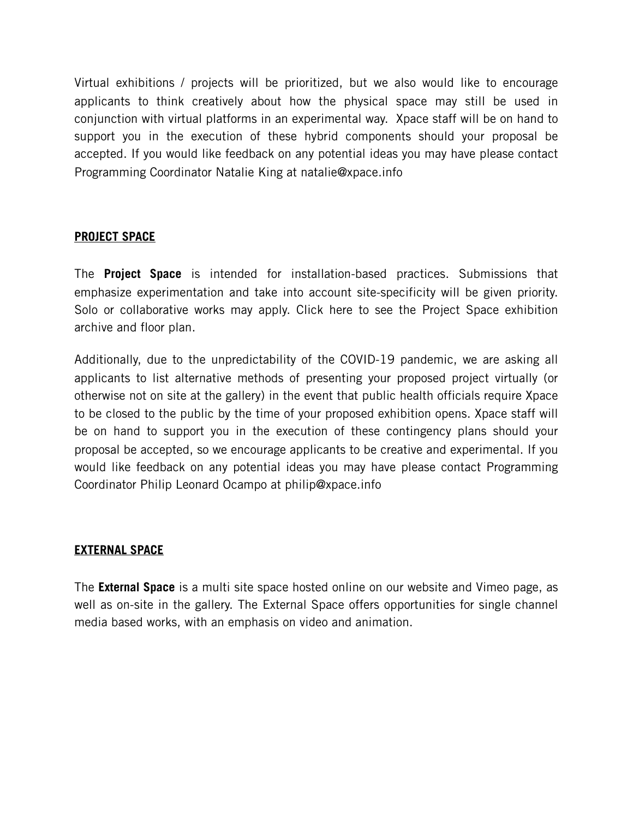Virtual exhibitions / projects will be prioritized, but we also would like to encourage applicants to think creatively about how the physical space may still be used in conjunction with virtual platforms in an experimental way. Xpace staff will be on hand to support you in the execution of these hybrid components should your proposal be accepted. If you would like feedback on any potential ideas you may have please contact Programming Coordinator Natalie King at natalie@xpace.info

## **PROJECT SPACE**

The **Project Space** is intended for installation-based practices. Submissions that emphasize experimentation and take into account site-specificity will be given priority. Solo or collaborative works may apply. [Click here to see the Project Space exhibition](http://www.xpace.info/project-space/)  [archive and floor plan.](http://www.xpace.info/project-space/)

Additionally, due to the unpredictability of the COVID-19 pandemic, we are asking all applicants to list alternative methods of presenting your proposed project virtually (or otherwise not on site at the gallery) in the event that public health officials require Xpace to be closed to the public by the time of your proposed exhibition opens. Xpace staff will be on hand to support you in the execution of these contingency plans should your proposal be accepted, so we encourage applicants to be creative and experimental. If you would like feedback on any potential ideas you may have please contact Programming Coordinator Philip Leonard Ocampo at philip@xpace.info

## **EXTERNAL SPACE**

The **External Space** is a multi site space hosted online on our website and Vimeo page, as well as on-site in the gallery. The External Space offers opportunities for single channel media based works, with an emphasis on video and animation.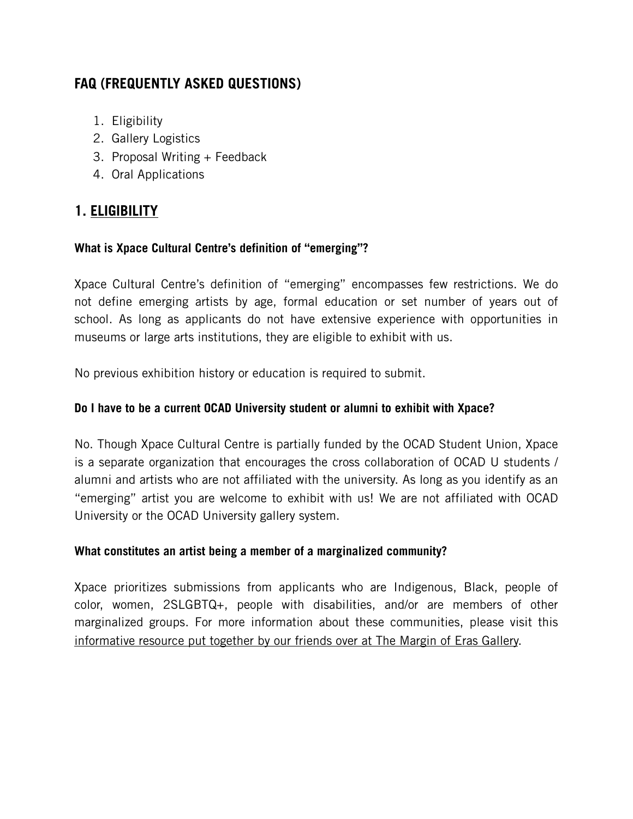# **FAQ (FREQUENTLY ASKED QUESTIONS)**

- 1. Eligibility
- 2. Gallery Logistics
- 3. Proposal Writing + Feedback
- 4. Oral Applications

# **1. ELIGIBILITY**

# **What is Xpace Cultural Centre's definition of "emerging"?**

Xpace Cultural Centre's definition of "emerging" encompasses few restrictions. We do not define emerging artists by age, formal education or set number of years out of school. As long as applicants do not have extensive experience with opportunities in museums or large arts institutions, they are eligible to exhibit with us.

No previous exhibition history or education is required to submit.

## **Do I have to be a current OCAD University student or alumni to exhibit with Xpace?**

No. Though Xpace Cultural Centre is partially funded by the OCAD Student Union, Xpace is a separate organization that encourages the cross collaboration of OCAD U students / alumni and artists who are not affiliated with the university. As long as you identify as an "emerging" artist you are welcome to exhibit with us! We are not affiliated with OCAD University or the OCAD University gallery system.

## **What constitutes an artist being a member of a marginalized community?**

Xpace prioritizes submissions from applicants who are Indigenous, Black, people of color, women, 2SLGBTQ+, people with disabilities, and/or are members of other marginalized groups. For more information about these communities, please visit this [informative resource put together by our friends over at The Margin of Eras Gallery.](https://www.marginoferasgallery.ca/dictionary-of-margins)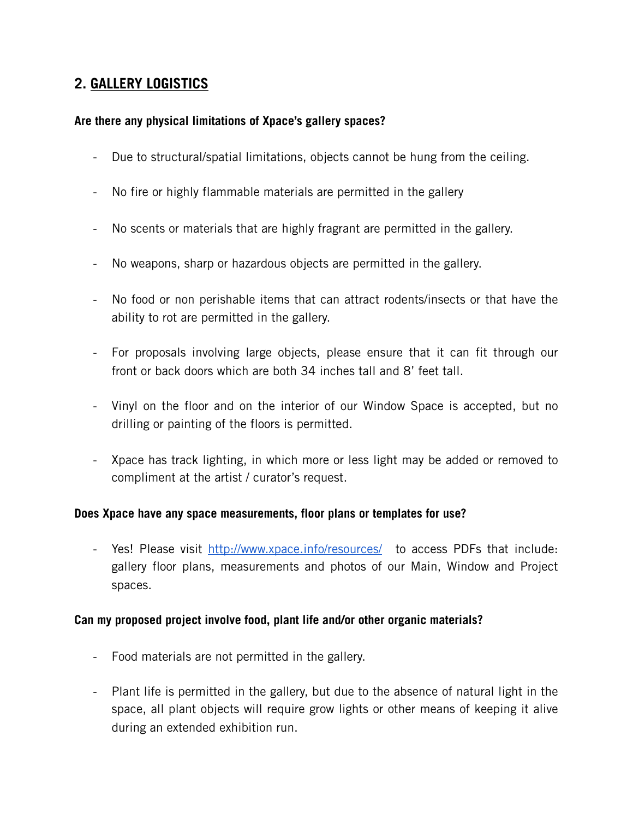# **2. GALLERY LOGISTICS**

## **Are there any physical limitations of Xpace's gallery spaces?**

- Due to structural/spatial limitations, objects cannot be hung from the ceiling.
- No fire or highly flammable materials are permitted in the gallery
- No scents or materials that are highly fragrant are permitted in the gallery.
- No weapons, sharp or hazardous objects are permitted in the gallery.
- No food or non perishable items that can attract rodents/insects or that have the ability to rot are permitted in the gallery.
- For proposals involving large objects, please ensure that it can fit through our front or back doors which are both 34 inches tall and 8' feet tall.
- Vinyl on the floor and on the interior of our Window Space is accepted, but no drilling or painting of the floors is permitted.
- Xpace has track lighting, in which more or less light may be added or removed to compliment at the artist / curator's request.

#### **Does Xpace have any space measurements, floor plans or templates for use?**

- Yes! Please visit <http://www.xpace.info/resources/>to access PDFs that include: gallery floor plans, measurements and photos of our Main, Window and Project spaces.

#### **Can my proposed project involve food, plant life and/or other organic materials?**

- Food materials are not permitted in the gallery.
- Plant life is permitted in the gallery, but due to the absence of natural light in the space, all plant objects will require grow lights or other means of keeping it alive during an extended exhibition run.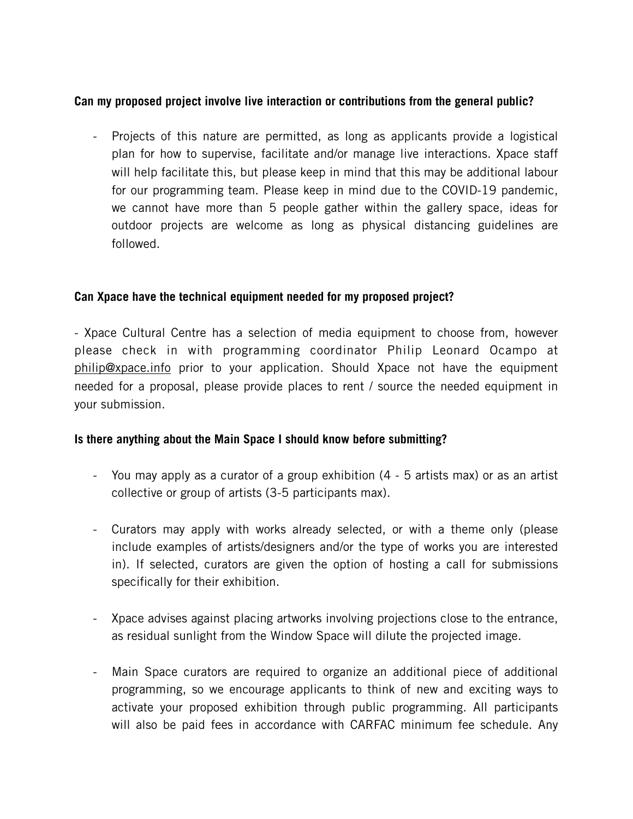## **Can my proposed project involve live interaction or contributions from the general public?**

- Projects of this nature are permitted, as long as applicants provide a logistical plan for how to supervise, facilitate and/or manage live interactions. Xpace staff will help facilitate this, but please keep in mind that this may be additional labour for our programming team. Please keep in mind due to the COVID-19 pandemic, we cannot have more than 5 people gather within the gallery space, ideas for outdoor projects are welcome as long as physical distancing guidelines are followed.

## **Can Xpace have the technical equipment needed for my proposed project?**

- Xpace Cultural Centre has a selection of media equipment to choose from, however please check in with programming coordinator Philip Leonard Ocampo at [philip@xpace.info](mailto:philip@xpace.info) prior to your application. Should Xpace not have the equipment needed for a proposal, please provide places to rent / source the needed equipment in your submission.

## **Is there anything about the Main Space I should know before submitting?**

- You may apply as a curator of a group exhibition (4 5 artists max) or as an artist collective or group of artists (3-5 participants max).
- Curators may apply with works already selected, or with a theme only (please include examples of artists/designers and/or the type of works you are interested in). If selected, curators are given the option of hosting a call for submissions specifically for their exhibition.
- Xpace advises against placing artworks involving projections close to the entrance, as residual sunlight from the Window Space will dilute the projected image.
- Main Space curators are required to organize an additional piece of additional programming, so we encourage applicants to think of new and exciting ways to activate your proposed exhibition through public programming. All participants will also be paid fees in accordance with CARFAC minimum fee schedule. Any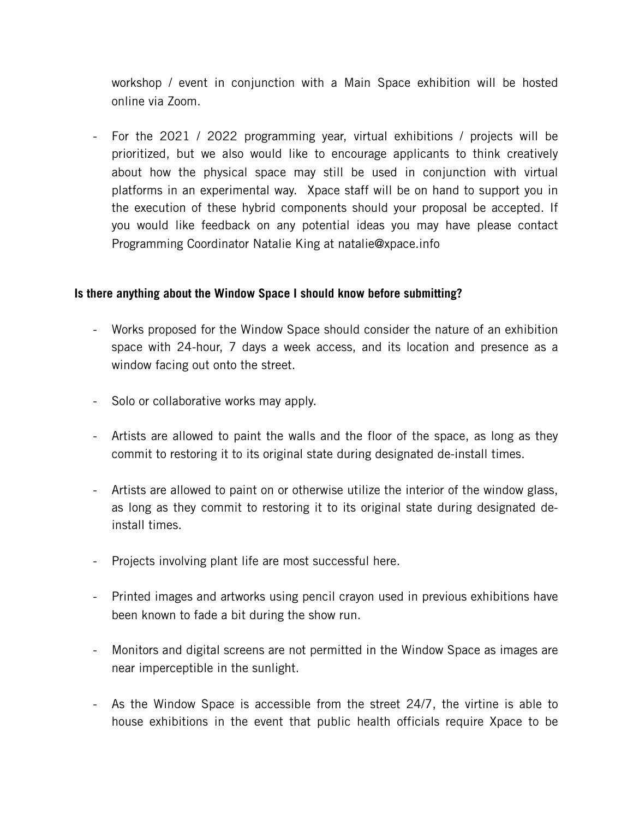workshop / event in conjunction with a Main Space exhibition will be hosted online via Zoom.

- For the 2021 / 2022 programming year, virtual exhibitions / projects will be prioritized, but we also would like to encourage applicants to think creatively about how the physical space may still be used in conjunction with virtual platforms in an experimental way. Xpace staff will be on hand to support you in the execution of these hybrid components should your proposal be accepted. If you would like feedback on any potential ideas you may have please contact Programming Coordinator Natalie King at natalie@xpace.info

## **Is there anything about the Window Space I should know before submitting?**

- Works proposed for the Window Space should consider the nature of an exhibition space with 24-hour, 7 days a week access, and its location and presence as a window facing out onto the street.
- Solo or collaborative works may apply.
- Artists are allowed to paint the walls and the floor of the space, as long as they commit to restoring it to its original state during designated de-install times.
- Artists are allowed to paint on or otherwise utilize the interior of the window glass, as long as they commit to restoring it to its original state during designated deinstall times.
- Projects involving plant life are most successful here.
- Printed images and artworks using pencil crayon used in previous exhibitions have been known to fade a bit during the show run.
- Monitors and digital screens are not permitted in the Window Space as images are near imperceptible in the sunlight.
- As the Window Space is accessible from the street 24/7, the virtine is able to house exhibitions in the event that public health officials require Xpace to be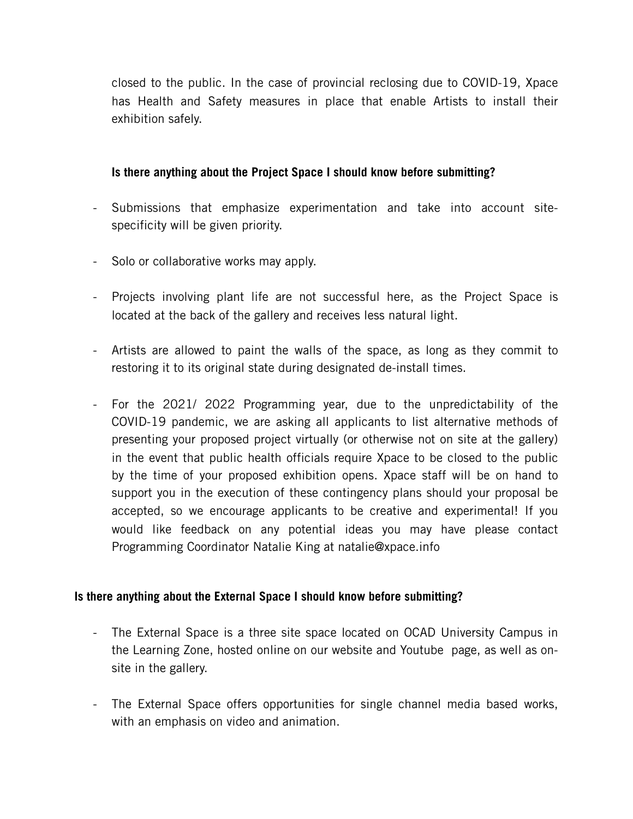closed to the public. In the case of provincial reclosing due to COVID-19, Xpace has Health and Safety measures in place that enable Artists to install their exhibition safely.

## **Is there anything about the Project Space I should know before submitting?**

- Submissions that emphasize experimentation and take into account sitespecificity will be given priority.
- Solo or collaborative works may apply.
- Projects involving plant life are not successful here, as the Project Space is located at the back of the gallery and receives less natural light.
- Artists are allowed to paint the walls of the space, as long as they commit to restoring it to its original state during designated de-install times.
- For the 2021/ 2022 Programming year, due to the unpredictability of the COVID-19 pandemic, we are asking all applicants to list alternative methods of presenting your proposed project virtually (or otherwise not on site at the gallery) in the event that public health officials require Xpace to be closed to the public by the time of your proposed exhibition opens. Xpace staff will be on hand to support you in the execution of these contingency plans should your proposal be accepted, so we encourage applicants to be creative and experimental! If you would like feedback on any potential ideas you may have please contact Programming Coordinator Natalie King at natalie@xpace.info

#### **Is there anything about the External Space I should know before submitting?**

- The External Space is a three site space located on OCAD University Campus in the Learning Zone, hosted online on our website and Youtube page, as well as onsite in the gallery.
- The External Space offers opportunities for single channel media based works, with an emphasis on video and animation.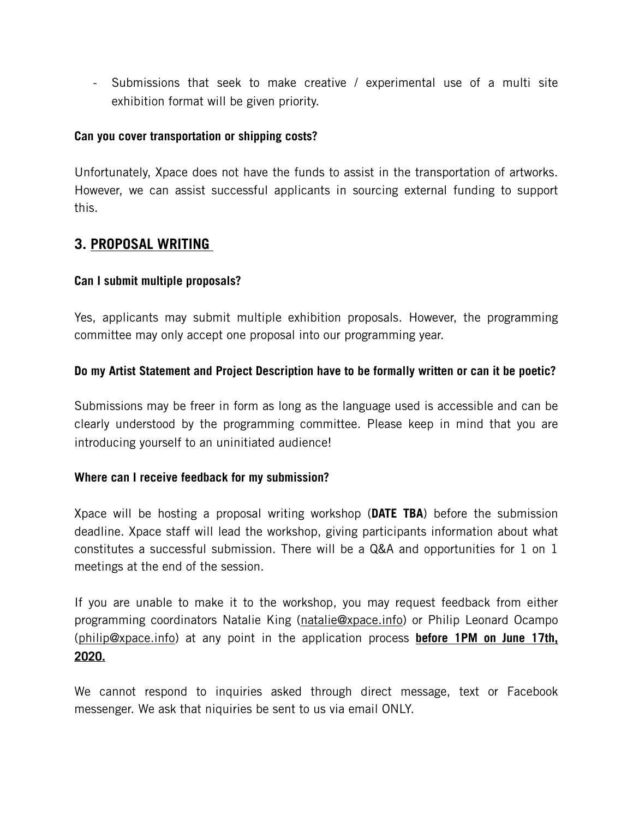- Submissions that seek to make creative / experimental use of a multi site exhibition format will be given priority.

## **Can you cover transportation or shipping costs?**

Unfortunately, Xpace does not have the funds to assist in the transportation of artworks. However, we can assist successful applicants in sourcing external funding to support this.

# **3. PROPOSAL WRITING**

## **Can I submit multiple proposals?**

Yes, applicants may submit multiple exhibition proposals. However, the programming committee may only accept one proposal into our programming year.

## **Do my Artist Statement and Project Description have to be formally written or can it be poetic?**

Submissions may be freer in form as long as the language used is accessible and can be clearly understood by the programming committee. Please keep in mind that you are introducing yourself to an uninitiated audience!

#### **Where can I receive feedback for my submission?**

Xpace will be hosting a proposal writing workshop (**DATE TBA**) before the submission deadline. Xpace staff will lead the workshop, giving participants information about what constitutes a successful submission. There will be a Q&A and opportunities for 1 on 1 meetings at the end of the session.

If you are unable to make it to the workshop, you may request feedback from either programming coordinators Natalie King [\(natalie@xpace.info\)](mailto:natalie@xpace.info) or Philip Leonard Ocampo ([philip@xpace.info](mailto:philip@xpace.info)) at any point in the application process **before 1PM on June 17th, 2020.** 

We cannot respond to inquiries asked through direct message, text or Facebook messenger. We ask that niquiries be sent to us via email ONLY.